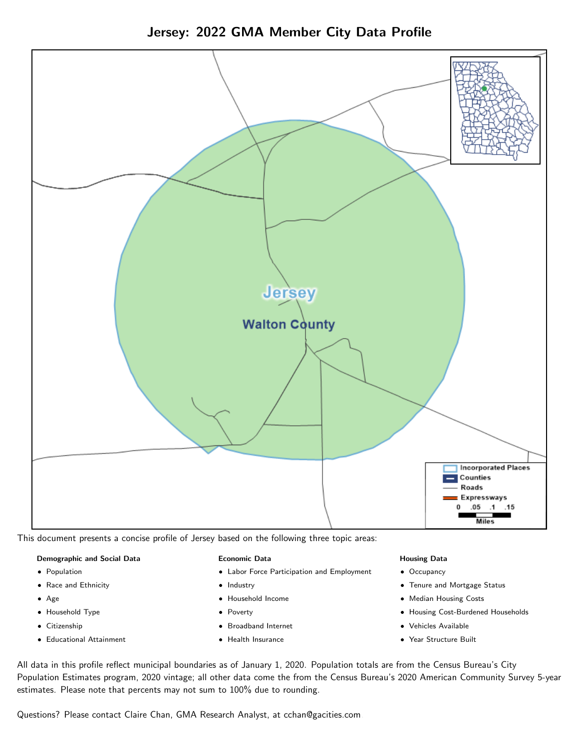Jersey: 2022 GMA Member City Data Profile



This document presents a concise profile of Jersey based on the following three topic areas:

#### Demographic and Social Data

- **•** Population
- Race and Ethnicity
- Age
- Household Type
- **Citizenship**
- Educational Attainment

#### Economic Data

- Labor Force Participation and Employment
- Industry
- Household Income
- Poverty
- Broadband Internet
- Health Insurance

#### Housing Data

- Occupancy
- Tenure and Mortgage Status
- Median Housing Costs
- Housing Cost-Burdened Households
- Vehicles Available
- Year Structure Built

All data in this profile reflect municipal boundaries as of January 1, 2020. Population totals are from the Census Bureau's City Population Estimates program, 2020 vintage; all other data come the from the Census Bureau's 2020 American Community Survey 5-year estimates. Please note that percents may not sum to 100% due to rounding.

Questions? Please contact Claire Chan, GMA Research Analyst, at [cchan@gacities.com.](mailto:cchan@gacities.com)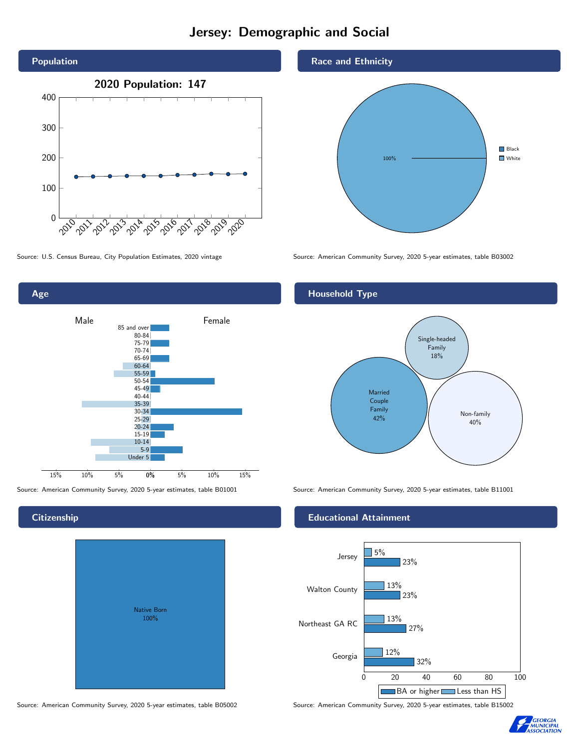# Jersey: Demographic and Social





Source: American Community Survey, 2020 5-year estimates, table B01001 Source: American Community Survey, 2020 5-year estimates, table B11001

# **Citizenship**

| Native Born |
|-------------|
| 100%        |
|             |
|             |
|             |
|             |

Source: American Community Survey, 2020 5-year estimates, table B05002 Source: American Community Survey, 2020 5-year estimates, table B15002

Race and Ethnicity



Source: U.S. Census Bureau, City Population Estimates, 2020 vintage Source: American Community Survey, 2020 5-year estimates, table B03002

## Household Type



### Educational Attainment



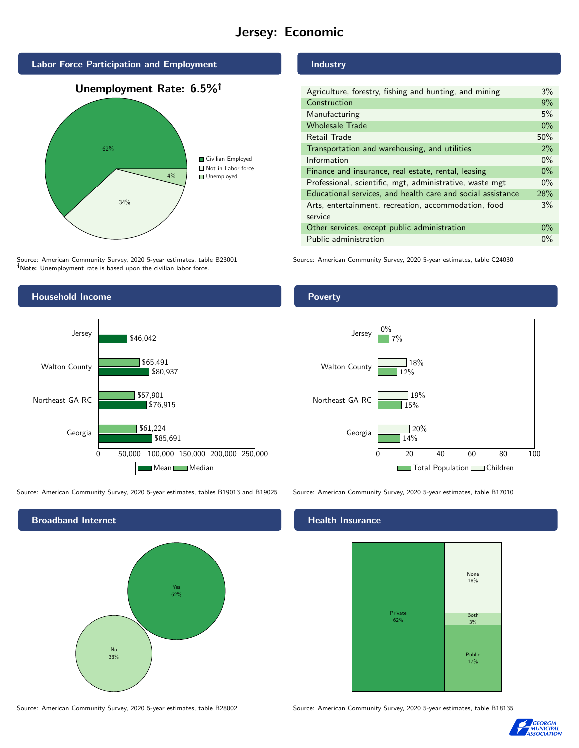# Jersey: Economic



Source: American Community Survey, 2020 5-year estimates, table B23001 Note: Unemployment rate is based upon the civilian labor force.



Source: American Community Survey, 2020 5-year estimates, tables B19013 and B19025 Source: American Community Survey, 2020 5-year estimates, table B17010

Broadband Internet No 38% Yes 62%

## Industry

**Poverty** 

| Agriculture, forestry, fishing and hunting, and mining      | $3\%$ |
|-------------------------------------------------------------|-------|
| Construction                                                | 9%    |
| Manufacturing                                               | 5%    |
| <b>Wholesale Trade</b>                                      | $0\%$ |
| Retail Trade                                                | 50%   |
| Transportation and warehousing, and utilities               |       |
| Information                                                 |       |
| Finance and insurance, real estate, rental, leasing         |       |
| Professional, scientific, mgt, administrative, waste mgt    |       |
| Educational services, and health care and social assistance |       |
| Arts, entertainment, recreation, accommodation, food        |       |
| service                                                     |       |
| Other services, except public administration                |       |
| Public administration                                       |       |

Source: American Community Survey, 2020 5-year estimates, table C24030



### Health Insurance



Source: American Community Survey, 2020 5-year estimates, table B28002 Source: American Community Survey, 2020 5-year estimates, table B18135